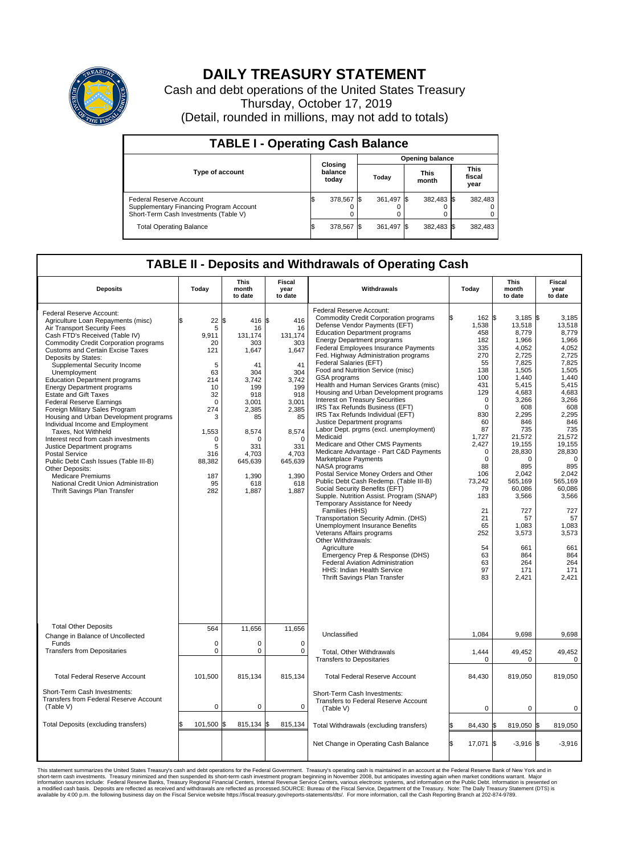

## **DAILY TREASURY STATEMENT**

Cash and debt operations of the United States Treasury Thursday, October 17, 2019 (Detail, rounded in millions, may not add to totals)

| <b>TABLE I - Operating Cash Balance</b>                                                                     |     |                             |  |                        |      |                      |  |                               |  |  |  |
|-------------------------------------------------------------------------------------------------------------|-----|-----------------------------|--|------------------------|------|----------------------|--|-------------------------------|--|--|--|
|                                                                                                             |     |                             |  | <b>Opening balance</b> |      |                      |  |                               |  |  |  |
| <b>Type of account</b>                                                                                      |     | Closing<br>balance<br>today |  | Today                  |      | <b>This</b><br>month |  | <b>This</b><br>fiscal<br>year |  |  |  |
| Federal Reserve Account<br>Supplementary Financing Program Account<br>Short-Term Cash Investments (Table V) |     | 378,567                     |  | 361,497 \$             |      | 382,483 \$           |  | 382,483                       |  |  |  |
| <b>Total Operating Balance</b>                                                                              | I\$ | 378,567                     |  | 361,497                | - IS | 382,483 \$           |  | 382,483                       |  |  |  |

## **TABLE II - Deposits and Withdrawals of Operating Cash**

| <b>Deposits</b>                                                                                                                                                                                                                                                                                                                                                                                                                                                                                                                                                                                                                                                                                                                                                                                                                                         | Today                                                                                                                                                    | <b>This</b><br>month<br>to date                                                                                                                                              | <b>Fiscal</b><br>year<br>to date                                                                                                                                          | Withdrawals                                                                                                                                                                                                                                                                                                                                                                                                                                                                                                                                                                                                                                                                                                                                                                                                                                                                                                                                                                                                                                                                                                                                                                                                                                                                 | Today                                                                                                                                                                                                                                                        | <b>This</b><br>month<br>to date                                                                                                                                                                                                                                                                   | <b>Fiscal</b><br>year<br>to date                                                                                                                                                                                                                                                                       |
|---------------------------------------------------------------------------------------------------------------------------------------------------------------------------------------------------------------------------------------------------------------------------------------------------------------------------------------------------------------------------------------------------------------------------------------------------------------------------------------------------------------------------------------------------------------------------------------------------------------------------------------------------------------------------------------------------------------------------------------------------------------------------------------------------------------------------------------------------------|----------------------------------------------------------------------------------------------------------------------------------------------------------|------------------------------------------------------------------------------------------------------------------------------------------------------------------------------|---------------------------------------------------------------------------------------------------------------------------------------------------------------------------|-----------------------------------------------------------------------------------------------------------------------------------------------------------------------------------------------------------------------------------------------------------------------------------------------------------------------------------------------------------------------------------------------------------------------------------------------------------------------------------------------------------------------------------------------------------------------------------------------------------------------------------------------------------------------------------------------------------------------------------------------------------------------------------------------------------------------------------------------------------------------------------------------------------------------------------------------------------------------------------------------------------------------------------------------------------------------------------------------------------------------------------------------------------------------------------------------------------------------------------------------------------------------------|--------------------------------------------------------------------------------------------------------------------------------------------------------------------------------------------------------------------------------------------------------------|---------------------------------------------------------------------------------------------------------------------------------------------------------------------------------------------------------------------------------------------------------------------------------------------------|--------------------------------------------------------------------------------------------------------------------------------------------------------------------------------------------------------------------------------------------------------------------------------------------------------|
| Federal Reserve Account:<br>Agriculture Loan Repayments (misc)<br>Air Transport Security Fees<br>Cash FTD's Received (Table IV)<br><b>Commodity Credit Corporation programs</b><br><b>Customs and Certain Excise Taxes</b><br>Deposits by States:<br>Supplemental Security Income<br>Unemployment<br><b>Education Department programs</b><br><b>Energy Department programs</b><br><b>Estate and Gift Taxes</b><br><b>Federal Reserve Earnings</b><br>Foreign Military Sales Program<br>Housing and Urban Development programs<br>Individual Income and Employment<br>Taxes. Not Withheld<br>Interest recd from cash investments<br>Justice Department programs<br><b>Postal Service</b><br>Public Debt Cash Issues (Table III-B)<br>Other Deposits:<br><b>Medicare Premiums</b><br>National Credit Union Administration<br>Thrift Savings Plan Transfer | 22<br>5<br>9.911<br>20<br>121<br>5<br>63<br>214<br>10<br>32<br>$\mathbf 0$<br>274<br>3<br>1,553<br>$\mathbf 0$<br>5<br>316<br>88,382<br>187<br>95<br>282 | 1\$<br>416 \$<br>16<br>131.174<br>303<br>1,647<br>41<br>304<br>3,742<br>199<br>918<br>3,001<br>2,385<br>85<br>8,574<br>n<br>331<br>4,703<br>645,639<br>1,390<br>618<br>1,887 | 416<br>16<br>131.174<br>303<br>1,647<br>41<br>304<br>3,742<br>199<br>918<br>3,001<br>2,385<br>85<br>8,574<br>$\Omega$<br>331<br>4,703<br>645,639<br>1,390<br>618<br>1,887 | Federal Reserve Account:<br><b>Commodity Credit Corporation programs</b><br>Defense Vendor Payments (EFT)<br><b>Education Department programs</b><br><b>Energy Department programs</b><br>Federal Employees Insurance Payments<br>Fed. Highway Administration programs<br>Federal Salaries (EFT)<br>Food and Nutrition Service (misc)<br>GSA programs<br>Health and Human Services Grants (misc)<br>Housing and Urban Development programs<br>Interest on Treasury Securities<br>IRS Tax Refunds Business (EFT)<br>IRS Tax Refunds Individual (EFT)<br>Justice Department programs<br>Labor Dept. prgms (excl. unemployment)<br>Medicaid<br>Medicare and Other CMS Payments<br>Medicare Advantage - Part C&D Payments<br>Marketplace Payments<br>NASA programs<br>Postal Service Money Orders and Other<br>Public Debt Cash Redemp. (Table III-B)<br>Social Security Benefits (EFT)<br>Supple. Nutrition Assist. Program (SNAP)<br>Temporary Assistance for Needy<br>Families (HHS)<br>Transportation Security Admin. (DHS)<br>Unemployment Insurance Benefits<br>Veterans Affairs programs<br>Other Withdrawals:<br>Agriculture<br>Emergency Prep & Response (DHS)<br>Federal Aviation Administration<br><b>HHS: Indian Health Service</b><br>Thrift Savings Plan Transfer | 162 \$<br>1,538<br>458<br>182<br>335<br>270<br>55<br>138<br>100<br>431<br>129<br>0<br>$\mathbf 0$<br>830<br>60<br>87<br>1,727<br>2,427<br>$\Omega$<br>$\mathbf 0$<br>88<br>106<br>73,242<br>79<br>183<br>21<br>21<br>65<br>252<br>54<br>63<br>63<br>97<br>83 | $3,185$ \$<br>13,518<br>8,779<br>1,966<br>4,052<br>2,725<br>7,825<br>1,505<br>1,440<br>5,415<br>4.683<br>3,266<br>608<br>2,295<br>846<br>735<br>21,572<br>19,155<br>28,830<br>0<br>895<br>2.042<br>565,169<br>60,086<br>3,566<br>727<br>57<br>1.083<br>3,573<br>661<br>864<br>264<br>171<br>2.421 | 3,185<br>13,518<br>8,779<br>1,966<br>4,052<br>2,725<br>7,825<br>1,505<br>1,440<br>5,415<br>4.683<br>3,266<br>608<br>2,295<br>846<br>735<br>21,572<br>19,155<br>28,830<br>$\mathbf 0$<br>895<br>2.042<br>565,169<br>60,086<br>3,566<br>727<br>57<br>1.083<br>3,573<br>661<br>864<br>264<br>171<br>2.421 |
| <b>Total Other Deposits</b>                                                                                                                                                                                                                                                                                                                                                                                                                                                                                                                                                                                                                                                                                                                                                                                                                             | 564                                                                                                                                                      | 11,656                                                                                                                                                                       | 11.656                                                                                                                                                                    |                                                                                                                                                                                                                                                                                                                                                                                                                                                                                                                                                                                                                                                                                                                                                                                                                                                                                                                                                                                                                                                                                                                                                                                                                                                                             |                                                                                                                                                                                                                                                              |                                                                                                                                                                                                                                                                                                   |                                                                                                                                                                                                                                                                                                        |
| Change in Balance of Uncollected<br>Funds                                                                                                                                                                                                                                                                                                                                                                                                                                                                                                                                                                                                                                                                                                                                                                                                               | $\mathbf 0$                                                                                                                                              | 0                                                                                                                                                                            | $\mathbf 0$                                                                                                                                                               | Unclassified                                                                                                                                                                                                                                                                                                                                                                                                                                                                                                                                                                                                                                                                                                                                                                                                                                                                                                                                                                                                                                                                                                                                                                                                                                                                | 1,084                                                                                                                                                                                                                                                        | 9,698                                                                                                                                                                                                                                                                                             | 9,698                                                                                                                                                                                                                                                                                                  |
| <b>Transfers from Depositaries</b>                                                                                                                                                                                                                                                                                                                                                                                                                                                                                                                                                                                                                                                                                                                                                                                                                      | $\mathbf 0$                                                                                                                                              | 0                                                                                                                                                                            | $\mathbf 0$                                                                                                                                                               | Total, Other Withdrawals<br><b>Transfers to Depositaries</b>                                                                                                                                                                                                                                                                                                                                                                                                                                                                                                                                                                                                                                                                                                                                                                                                                                                                                                                                                                                                                                                                                                                                                                                                                | 1,444<br>0                                                                                                                                                                                                                                                   | 49,452<br>0                                                                                                                                                                                                                                                                                       | 49,452<br>0                                                                                                                                                                                                                                                                                            |
| <b>Total Federal Reserve Account</b>                                                                                                                                                                                                                                                                                                                                                                                                                                                                                                                                                                                                                                                                                                                                                                                                                    | 101,500                                                                                                                                                  | 815,134                                                                                                                                                                      | 815,134                                                                                                                                                                   | <b>Total Federal Reserve Account</b>                                                                                                                                                                                                                                                                                                                                                                                                                                                                                                                                                                                                                                                                                                                                                                                                                                                                                                                                                                                                                                                                                                                                                                                                                                        | 84,430                                                                                                                                                                                                                                                       | 819,050                                                                                                                                                                                                                                                                                           | 819,050                                                                                                                                                                                                                                                                                                |
| Short-Term Cash Investments:<br>Transfers from Federal Reserve Account<br>(Table V)                                                                                                                                                                                                                                                                                                                                                                                                                                                                                                                                                                                                                                                                                                                                                                     | 0                                                                                                                                                        | 0                                                                                                                                                                            | $\mathbf 0$                                                                                                                                                               | Short-Term Cash Investments:<br>Transfers to Federal Reserve Account<br>(Table V)                                                                                                                                                                                                                                                                                                                                                                                                                                                                                                                                                                                                                                                                                                                                                                                                                                                                                                                                                                                                                                                                                                                                                                                           | $\mathbf 0$                                                                                                                                                                                                                                                  | $\mathbf 0$                                                                                                                                                                                                                                                                                       | 0                                                                                                                                                                                                                                                                                                      |
| Total Deposits (excluding transfers)                                                                                                                                                                                                                                                                                                                                                                                                                                                                                                                                                                                                                                                                                                                                                                                                                    | \$<br>101,500                                                                                                                                            | \$<br>815,134 \$                                                                                                                                                             | 815,134                                                                                                                                                                   | Total Withdrawals (excluding transfers)                                                                                                                                                                                                                                                                                                                                                                                                                                                                                                                                                                                                                                                                                                                                                                                                                                                                                                                                                                                                                                                                                                                                                                                                                                     | 84,430 \$                                                                                                                                                                                                                                                    | 819,050 \$                                                                                                                                                                                                                                                                                        | 819,050                                                                                                                                                                                                                                                                                                |
|                                                                                                                                                                                                                                                                                                                                                                                                                                                                                                                                                                                                                                                                                                                                                                                                                                                         |                                                                                                                                                          |                                                                                                                                                                              |                                                                                                                                                                           | Net Change in Operating Cash Balance                                                                                                                                                                                                                                                                                                                                                                                                                                                                                                                                                                                                                                                                                                                                                                                                                                                                                                                                                                                                                                                                                                                                                                                                                                        | ß.<br>17,071 \$                                                                                                                                                                                                                                              | $-3,916$ \$                                                                                                                                                                                                                                                                                       | $-3,916$                                                                                                                                                                                                                                                                                               |

This statement summarizes the United States Treasury's cash and debt operations for the Federal Government. Treasury soperating in November 2008, but anticiarded in a cocount at the Federal metaformation sources investment